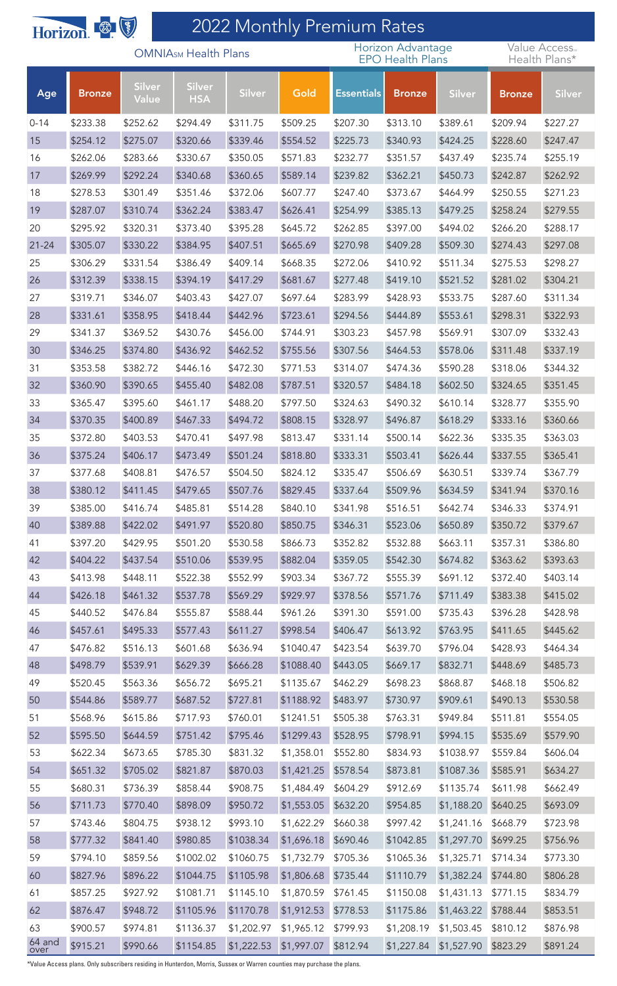

## **Horizon & 1** 2022 Monthly Premium Rates

|                | <b>FLOPIZOIL TY.</b> |                        | <b>OMNIA</b> <sub>SM</sub> Health Plans |               | . <u>.</u> |                   | Horizon Advantage       |               |               | Value Access  |
|----------------|----------------------|------------------------|-----------------------------------------|---------------|------------|-------------------|-------------------------|---------------|---------------|---------------|
|                |                      |                        |                                         |               |            |                   | <b>EPO Health Plans</b> |               |               | Health Plans* |
| Age            | <b>Bronze</b>        | <b>Silver</b><br>Value | Silver<br><b>HSA</b>                    | <b>Silver</b> | Gold       | <b>Essentials</b> | <b>Bronze</b>           | <b>Silver</b> | <b>Bronze</b> | Silver        |
| $0 - 14$       | \$233.38             | \$252.62               | \$294.49                                | \$311.75      | \$509.25   | \$207.30          | \$313.10                | \$389.61      | \$209.94      | \$227.27      |
| 15             | \$254.12             | \$275.07               | \$320.66                                | \$339.46      | \$554.52   | \$225.73          | \$340.93                | \$424.25      | \$228.60      | \$247.47      |
| 16             | \$262.06             | \$283.66               | \$330.67                                | \$350.05      | \$571.83   | \$232.77          | \$351.57                | \$437.49      | \$235.74      | \$255.19      |
| 17             | \$269.99             | \$292.24               | \$340.68                                | \$360.65      | \$589.14   | \$239.82          | \$362.21                | \$450.73      | \$242.87      | \$262.92      |
| 18             | \$278.53             | \$301.49               | \$351.46                                | \$372.06      | \$607.77   | \$247.40          | \$373.67                | \$464.99      | \$250.55      | \$271.23      |
| 19             | \$287.07             | \$310.74               | \$362.24                                | \$383.47      | \$626.41   | \$254.99          | \$385.13                | \$479.25      | \$258.24      | \$279.55      |
| 20             | \$295.92             | \$320.31               | \$373.40                                | \$395.28      | \$645.72   | \$262.85          | \$397.00                | \$494.02      | \$266.20      | \$288.17      |
| $21 - 24$      | \$305.07             | \$330.22               | \$384.95                                | \$407.51      | \$665.69   | \$270.98          | \$409.28                | \$509.30      | \$274.43      | \$297.08      |
| 25             | \$306.29             | \$331.54               | \$386.49                                | \$409.14      | \$668.35   | \$272.06          | \$410.92                | \$511.34      | \$275.53      | \$298.27      |
| 26             | \$312.39             | \$338.15               | \$394.19                                | \$417.29      | \$681.67   | \$277.48          | \$419.10                | \$521.52      | \$281.02      | \$304.21      |
| 27             | \$319.71             | \$346.07               | \$403.43                                | \$427.07      | \$697.64   | \$283.99          | \$428.93                | \$533.75      | \$287.60      | \$311.34      |
| 28             | \$331.61             | \$358.95               | \$418.44                                | \$442.96      | \$723.61   | \$294.56          | \$444.89                | \$553.61      | \$298.31      | \$322.93      |
| 29             | \$341.37             | \$369.52               | \$430.76                                | \$456.00      | \$744.91   | \$303.23          | \$457.98                | \$569.91      | \$307.09      | \$332.43      |
| 30             | \$346.25             | \$374.80               | \$436.92                                | \$462.52      | \$755.56   | \$307.56          | \$464.53                | \$578.06      | \$311.48      | \$337.19      |
| 31             | \$353.58             | \$382.72               | \$446.16                                | \$472.30      | \$771.53   | \$314.07          | \$474.36                | \$590.28      | \$318.06      | \$344.32      |
| 32             | \$360.90             | \$390.65               | \$455.40                                | \$482.08      | \$787.51   | \$320.57          | \$484.18                | \$602.50      | \$324.65      | \$351.45      |
| 33             | \$365.47             | \$395.60               | \$461.17                                | \$488.20      | \$797.50   | \$324.63          | \$490.32                | \$610.14      | \$328.77      | \$355.90      |
| 34             | \$370.35             | \$400.89               | \$467.33                                | \$494.72      | \$808.15   | \$328.97          | \$496.87                | \$618.29      | \$333.16      | \$360.66      |
| 35             | \$372.80             | \$403.53               | \$470.41                                | \$497.98      | \$813.47   | \$331.14          | \$500.14                | \$622.36      | \$335.35      | \$363.03      |
| 36             | \$375.24             | \$406.17               | \$473.49                                | \$501.24      | \$818.80   | \$333.31          | \$503.41                | \$626.44      | \$337.55      | \$365.41      |
| 37             | \$377.68             | \$408.81               | \$476.57                                | \$504.50      | \$824.12   | \$335.47          | \$506.69                | \$630.51      | \$339.74      | \$367.79      |
| 38             | \$380.12             | \$411.45               | \$479.65                                | \$507.76      | \$829.45   | \$337.64          | \$509.96                | \$634.59      | \$341.94      | \$370.16      |
| 39             | \$385.00             | \$416.74               | \$485.81                                | \$514.28      | \$840.10   | \$341.98          | \$516.51                | \$642.74      | \$346.33      | \$374.91      |
| 40             | \$389.88             | \$422.02               | \$491.97                                | \$520.80      | \$850.75   | \$346.31          | \$523.06                | \$650.89      | \$350.72      | \$379.67      |
| 41             | \$397.20             | \$429.95               | \$501.20                                | \$530.58      | \$866.73   | \$352.82          | \$532.88                | \$663.11      | \$357.31      | \$386.80      |
| 42             | \$404.22             | \$437.54               | \$510.06                                | \$539.95      | \$882.04   | \$359.05          | \$542.30                | \$674.82      | \$363.62      | \$393.63      |
| 43             | \$413.98             | \$448.11               | \$522.38                                | \$552.99      | \$903.34   | \$367.72          | \$555.39                | \$691.12      | \$372.40      | \$403.14      |
| 44             | \$426.18             | \$461.32               | \$537.78                                | \$569.29      | \$929.97   | \$378.56          | \$571.76                | \$711.49      | \$383.38      | \$415.02      |
| 45             | \$440.52             | \$476.84               | \$555.87                                | \$588.44      | \$961.26   | \$391.30          | \$591.00                | \$735.43      | \$396.28      | \$428.98      |
| 46             | \$457.61             | \$495.33               | \$577.43                                | \$611.27      | \$998.54   | \$406.47          | \$613.92                | \$763.95      | \$411.65      | \$445.62      |
| 47             | \$476.82             | \$516.13               | \$601.68                                | \$636.94      | \$1040.47  | \$423.54          | \$639.70                | \$796.04      | \$428.93      | \$464.34      |
| 48             | \$498.79             | \$539.91               | \$629.39                                | \$666.28      | \$1088.40  | \$443.05          | \$669.17                | \$832.71      | \$448.69      | \$485.73      |
| 49             | \$520.45             | \$563.36               | \$656.72                                | \$695.21      | \$1135.67  | \$462.29          | \$698.23                | \$868.87      | \$468.18      | \$506.82      |
| 50             | \$544.86             | \$589.77               | \$687.52                                | \$727.81      | \$1188.92  | \$483.97          | \$730.97                | \$909.61      | \$490.13      | \$530.58      |
| 51             | \$568.96             | \$615.86               | \$717.93                                | \$760.01      | \$1241.51  | \$505.38          | \$763.31                | \$949.84      | \$511.81      | \$554.05      |
| 52             | \$595.50             | \$644.59               | \$751.42                                | \$795.46      | \$1299.43  | \$528.95          | \$798.91                | \$994.15      | \$535.69      | \$579.90      |
| 53             | \$622.34             | \$673.65               | \$785.30                                | \$831.32      | \$1,358.01 | \$552.80          | \$834.93                | \$1038.97     | \$559.84      | \$606.04      |
| 54             | \$651.32             | \$705.02               | \$821.87                                | \$870.03      | \$1,421.25 | \$578.54          | \$873.81                | \$1087.36     | \$585.91      | \$634.27      |
| 55             | \$680.31             | \$736.39               | \$858.44                                | \$908.75      | \$1,484.49 | \$604.29          | \$912.69                | \$1135.74     | \$611.98      | \$662.49      |
| 56             | \$711.73             | \$770.40               | \$898.09                                | \$950.72      | \$1,553.05 | \$632.20          | \$954.85                | \$1,188.20    | \$640.25      | \$693.09      |
| 57             | \$743.46             | \$804.75               | \$938.12                                | \$993.10      | \$1,622.29 | \$660.38          | \$997.42                | \$1,241.16    | \$668.79      | \$723.98      |
| 58             | \$777.32             | \$841.40               | \$980.85                                | \$1038.34     | \$1,696.18 | \$690.46          | \$1042.85               | \$1,297.70    | \$699.25      | \$756.96      |
| 59             | \$794.10             | \$859.56               | \$1002.02                               | \$1060.75     | \$1,732.79 | \$705.36          | \$1065.36               | \$1,325.71    | \$714.34      | \$773.30      |
| 60             | \$827.96             | \$896.22               | \$1044.75                               | \$1105.98     | \$1,806.68 | \$735.44          | \$1110.79               | \$1,382.24    | \$744.80      | \$806.28      |
| 61             | \$857.25             | \$927.92               | \$1081.71                               | \$1145.10     | \$1,870.59 | \$761.45          | \$1150.08               | \$1,431.13    | \$771.15      | \$834.79      |
| 62             | \$876.47             | \$948.72               | \$1105.96                               | \$1170.78     | \$1,912.53 | \$778.53          | \$1175.86               | \$1,463.22    | \$788.44      | \$853.51      |
| 63             | \$900.57             | \$974.81               | \$1136.37                               | \$1,202.97    | \$1,965.12 | \$799.93          | \$1,208.19              | \$1,503.45    | \$810.12      | \$876.98      |
| 64 and<br>over | \$915.21             | \$990.66               | \$1154.85                               | \$1,222.53    | \$1,997.07 | \$812.94          | \$1,227.84              | \$1,527.90    | \$823.29      | \$891.24      |

\*Value Access plans. Only subscribers residing in Hunterdon, Morris, Sussex or Warren counties may purchase the plans.